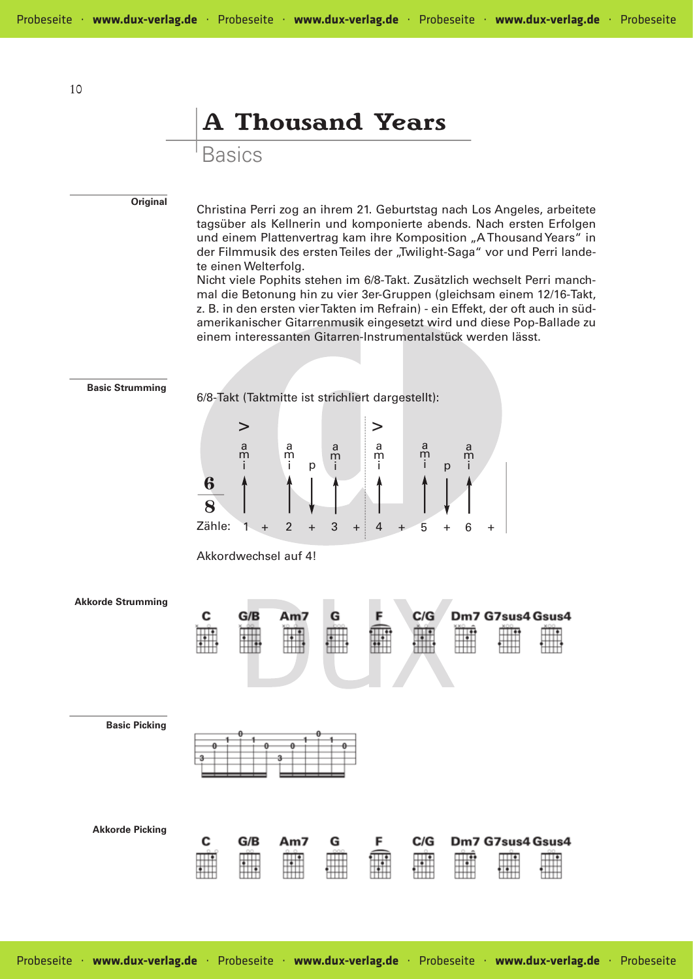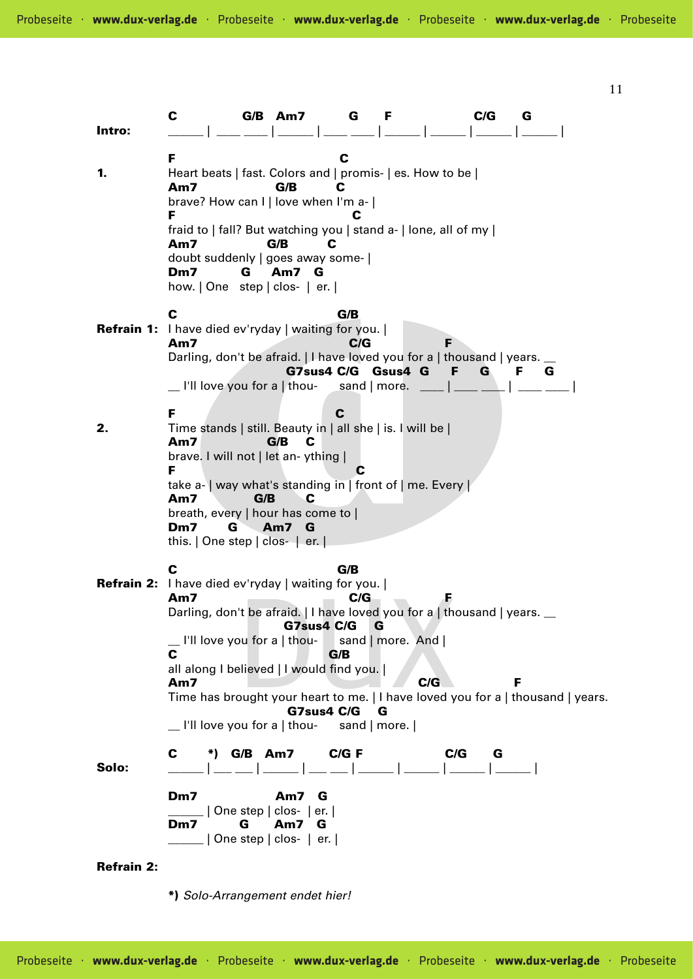C G/B Am7 G F C/G G Intro: \_\_\_\_\_\_ | \_\_\_\_ \_\_\_\_ | \_\_\_\_\_\_ | \_\_\_\_ \_\_\_\_ | \_\_\_\_\_\_ | \_\_\_\_\_\_ | \_\_\_\_\_\_ | \_\_\_\_\_\_ | F C 1. Heart beats | fast. Colors and | promis- | es. How to be | Am7 G/B C brave? How can I | love when I'm a- | F C fraid to | fall? But watching you | stand a- | lone, all of my | Am7 G/B C doubt suddenly | goes away some- | Dm7 G Am7 G how. | One step | clos- | er. | C G/B Refrain 1: I have died ev'ryday | waiting for you. | Am7 C/G F Darling, don't be afraid. | I have loved you for a | thousand | years. \_\_ G7sus4 C/G Gsus4 G F G F G  $\Box$  I'll love you for a | thou- sand | more.  $\Box$ F C **2.** Time stands | still. Beauty in | all she | is. I will be | Am7 G/B C brave. I will not | let an- ything | F C take a- | way what's standing in | front of | me. Every | Am7 G/B C breath, every | hour has come to | Dm7 G Am7 G this. | One step | clos- | er. | C G/B Refrain 2: I have died ev'ryday | waiting for you. | Am7 C/G F Darling, don't be afraid. | I have loved you for a | thousand | years. \_\_ G7sus4 C/G G \_\_ I'll love you for a | thou- sand | more. And | C G/B all along I believed | I would find you. | Am7 C/G F Time has brought your heart to me. | I have loved you for a | thousand | years. G7sus4 C/G G \_\_ I'll love you for a | thou- sand | more. | C \*) G/B Am7 C/G F C/G G Solo: \_\_\_\_ \_\_\_ | \_\_ \_ | \_\_\_ | \_\_\_ | \_\_\_\_ | \_\_\_\_ | \_\_\_\_ | \_\_\_\_ | \_\_\_\_ | Dm7 Am7 G | One step | clos- | er. | Dm7 G Am7 G \_\_\_\_\_\_ | One step | clos- | er. | Refrain 2:

\*) Solo-Arrangement endet hier!

11